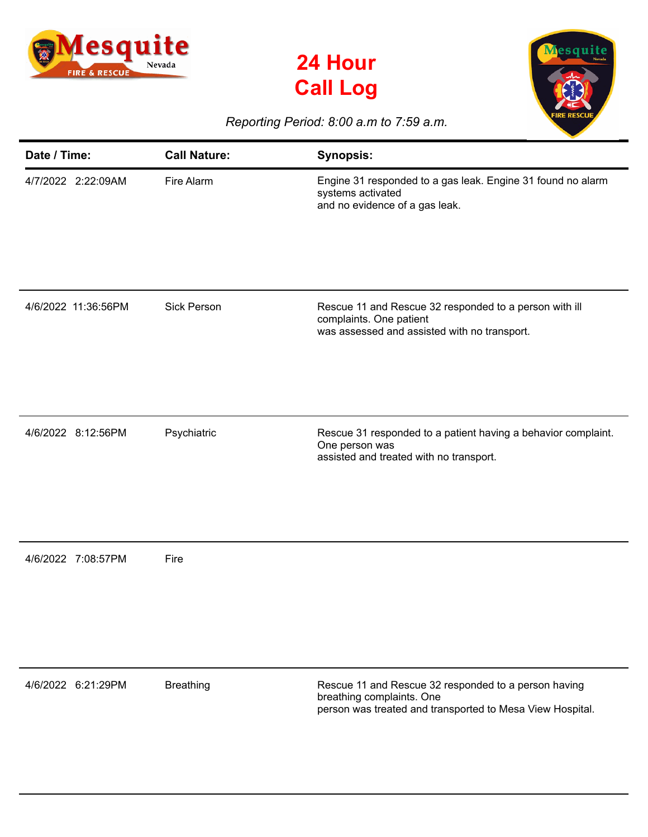





## *Reporting Period: 8:00 a.m to 7:59 a.m.*

| Date / Time:        | <b>Call Nature:</b> | <b>Synopsis:</b>                                                                                                                               |
|---------------------|---------------------|------------------------------------------------------------------------------------------------------------------------------------------------|
| 4/7/2022 2:22:09AM  | Fire Alarm          | Engine 31 responded to a gas leak. Engine 31 found no alarm<br>systems activated<br>and no evidence of a gas leak.                             |
| 4/6/2022 11:36:56PM | <b>Sick Person</b>  | Rescue 11 and Rescue 32 responded to a person with ill<br>complaints. One patient<br>was assessed and assisted with no transport.              |
| 4/6/2022 8:12:56PM  | Psychiatric         | Rescue 31 responded to a patient having a behavior complaint.<br>One person was<br>assisted and treated with no transport.                     |
| 4/6/2022 7:08:57PM  | Fire                |                                                                                                                                                |
| 4/6/2022 6:21:29PM  | <b>Breathing</b>    | Rescue 11 and Rescue 32 responded to a person having<br>breathing complaints. One<br>person was treated and transported to Mesa View Hospital. |